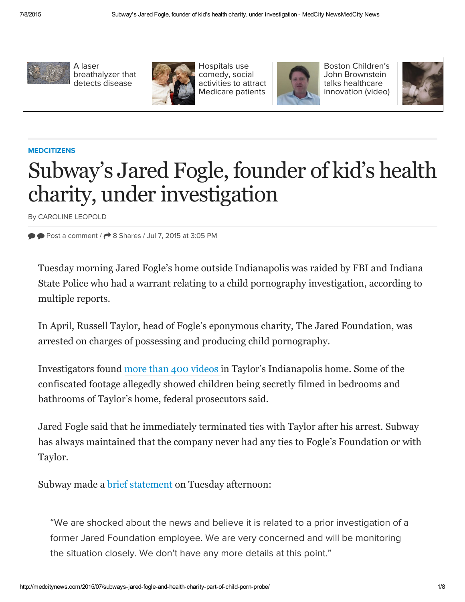

A laser [breathalyzer](http://medcitynews.com/2015/07/a-laser-breathalyzer-that-detects-disease/) that detects disease



Hospitals use comedy, social activities to attract [Medicare](http://medcitynews.com/2015/07/hospitals-use-humor-social-activities-to-attract-medicare-patients/) patients



Boston Children's John [Brownstein](http://medcitynews.com/2015/07/boston-childrens-john-brownstein-talks-healthcare-innovation-video/) talks healthcare innovation (video)



## **[MEDCITIZENS](http://medcitynews.com/category/medcitizens/)**

# Subway's Jared Fogle, founder of kid's health charity, under investigation

By [CAROLINE](http://medcitynews.com/author/cleopold/) LEOPOLD

 $\bullet$  Post a [comment](#page-3-0) /  $\bullet$  8 Shares / Jul 7, 2015 at 3:05 PM

Tuesday morning Jared Fogle's home outside Indianapolis was raided by FBI and Indiana State Police who had a warrant relating to a child pornography investigation, according to multiple reports.

In April, Russell Taylor, head of Fogle's eponymous charity, The Jared Foundation, was arrested on charges of possessing and producing child pornography.

Investigators found more than 400 [videos](http://www.syracuse.com/us-news/index.ssf/2015/07/jared_fogle_subway_child_porn_investigation.html) in Taylor's Indianapolis home. Some of the confiscated footage allegedly showed children being secretly filmed in bedrooms and bathrooms of Taylor's home, federal prosecutors said.

Jared Fogle said that he immediately terminated ties with Taylor after his arrest. Subway has always maintained that the company never had any ties to Fogle's Foundation or with Taylor.

Subway made a brief [statement](http://fox59.com/2015/07/07/federal-authorities-raid-home-of-subway-spokesman-jared-fogle/) on Tuesday afternoon:

"We are shocked about the news and believe it is related to a prior investigation of a former Jared Foundation employee. We are very concerned and will be monitoring the situation closely. We don't have any more details at this point."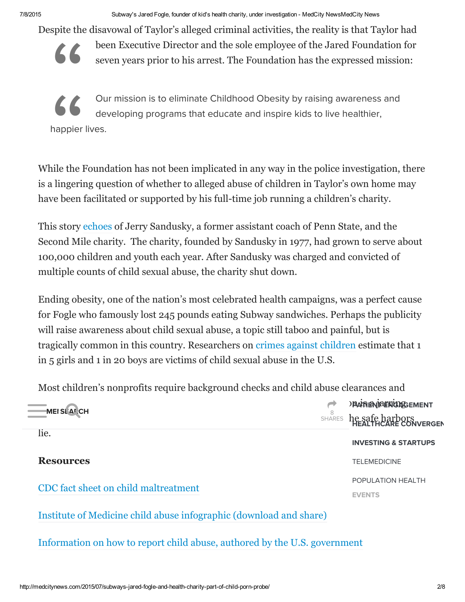7/8/2015 Subway's Jared Fogle, founder of kid's health charity, under investigation MedCity NewsMedCity News

Despite the disavowal of Taylor's alleged criminal activities, the reality is that Taylor had



been Executive Director and the sole employee of the Jared Foundation for seven years prior to his arrest. The Foundation has the expressed mission:

Our mission is to eliminate Childhood Obesity by raising awareness and<br>developing programs that educate and inspire kids to live healthier,<br>happier lives.<br>While the Foundation has not been implicated in any way in the poli " Our mission is to eliminate Childhood Obesity by raising awareness and developing programs that educate and inspire kids to live healthier, happier lives.

is a lingering question of whether to alleged abuse of children in Taylor's own home may have been facilitated or supported by his full-time job running a children's charity.

This story [echoes](http://www.pennlive.com/midstate/index.ssf/2012/08/second_mile_jerry_sandusky_1.html) of Jerry Sandusky, a former assistant coach of Penn State, and the Second Mile charity. The [chari](https://disqus.com/home/forums/medcitynewsblog/)ty, founded by Sandusky in 1977, had grown to s[erv](https://disqus.com/home/inbox/)e about 100,000 children and youth each year. After Sandusky was charged and convicted of multiple counts of child sexual abuse, the charity shut down.

Ending obesity, one of the nation's most celebrated health campaigns, was a perfect cause for Fogle who famously lost 245 pounds eating Subway sandwiches. Perhaps the publicity will raise awareness about child sexual abuse, a topic still taboo and painful, but is tragically common in this country. Researchers on crimes against [children](http://www.victimsofcrime.org/media/reporting-on-child-sexual-abuse/child-sexual-abuse-statistics) estimate that 1 in 5 girls and 1 in 20 boys are victims of child sexual abuse in the U.S.

Most children's nonprofits require background checks and child abuse clearances and

| <b>MEISLARCH</b>                                                          | 8<br><b>SHARES</b> | <b>JPAN ENTRENGARGEMENT</b><br>he safe harbors<br>HEALTHCARE CONVERGEN |
|---------------------------------------------------------------------------|--------------------|------------------------------------------------------------------------|
| lie.                                                                      |                    | <b>INVESTING &amp; STARTUPS</b>                                        |
| <b>Resources</b>                                                          |                    | <b>TELEMEDICINE</b>                                                    |
|                                                                           |                    | POPULATION HEALTH                                                      |
| CDC fact sheet on child maltreatment                                      |                    | <b>EVENTS</b>                                                          |
| Institute of Medicine child abuse infographic (download and share)        |                    |                                                                        |
| Information on how to report child abuse, authored by the U.S. government |                    |                                                                        |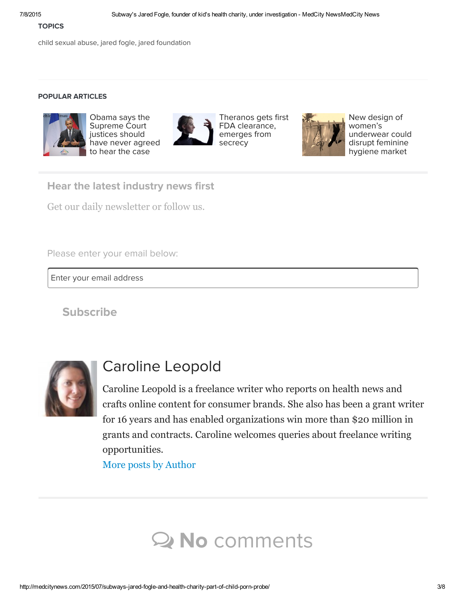#### **TOPICS**

child [sexual](http://medcitynews.com/tag/child-sexual-abuse/) abuse, jared [fogle,](http://medcitynews.com/tag/jared-fogle/) jared [foundation](http://medcitynews.com/tag/jared-foundation/)

## POPULAR ARTICLES



Obama says the [Supreme](http://medcitynews.com/2015/06/obama-says-the-supreme-court-justices-should-have-never-agreed-to-hear-the-case-against-the-aca/) Court justices should have never ag[reed](http://cat.ny.us.criteo.com/delivery/ck.php?cppv=1&cpp=eYsCXHxMTkt4WU1DbjluRnFRUE4vVmhYMmUwQW05dlFpMXRVN3BMdXhsYlhnd3JJV1ZWQlo2STBZUVdWSTRnakM0V1BXNjFDOEVDbklWL3FmcDN1OGkvUTZBSXdUL2tNMm9tNGFzVTQrZGJsa0tMcXFjQ2dzQW9BQmdQNzJuWVhIaEZrbGs4ekFaSUZuaXlRdXA1dVp2MGt0c1V2c3djQm1yNVFBTFZHQ1BYUksydTNFY2N0YWc0SEtzbTJWRFN2cWhCZWo2SmVUT0VldVZqVXR4cUNmcXhCS2ZFU1NwWWpvSVZuNDhja2JwRG5TVFB4TE1aQXJIZStMS1Ric3Y4cW82MWM0cmt6TzVwUGN0R2lteFkzY0VyZVhnOG0yT0NmdWZhUXJvWnZLS0NYYnlhNnpNN1lQR0dXK2JoRFByVXNUT2VCV3p0Q216eUtEZkxwTVdGa2g5SlhmM2VkcTBQZFNWbWF4YkdGRHoxTWtJZms9fA%3D%3D&maxdest=http%3A%2F%2Fwww.nastygal.com%2Fclothes%2Fnasty-gal-nothin-but-net-garter-belt%3Futm_source%3Dcriteo%26utm_campaign%3Dcriteo_midfunnel_product_v2%26utm_content%3DShoes%26utm_medium%3Dbanner) to hear the case



Theranos gets first FDA [clearance,](http://cat.ny.us.criteo.com/delivery/ck.php?cppv=1&cpp=cr3k%2FnxMTkt4WU1DbjluRnFRUE4vVmhYMmUwQW05dlFpMXRVN3BMdXhsYlhnd3JJV1ZWQlo2STBZUVdWSTRnakM0V1BXNjFDOEVDbklWL3FmcDN1OGkvUTZBSXdUL2tNMm9tNGFzVTQrZGJsa0tMcXFjQ2dzQW9BQmdQNzJuWVhIaEZrbGs4ekFaSUZuaXlRdXA1dVp2MGt0c1QzaDNSRVREc2JWb0F5RUYvUVRLdlVINlc1blBaSDlZVlZmZCtCemo3Z1U0WjZrcmZtQzhlU3l5cHBIa3R1UW1kSjdvRGlQaE1hWXZHNEVLcXNnMEd1ZU5BWjRQa3p1ZVdIbWJtWFBtRks4TUZ4UG81dzBQcWF6ZFA2OG1UNnNNeXdJMHlFU0dIMGt1OWpzOUIyZENKMi85MzUreWZrL2JlMlhDM2lWckliaUR1eVRORGgyRUZwdDI3VFNnWlpOZFdXaTJwVzZlYU85VmJzMnF6VU4xZWc9fA%3D%3D&maxdest=http%3A%2F%2Fwww.nastygal.com%3Futm_source%3Dcriteo%26utm_campaign%3Dcriteo_midfunnel_product_v2%26utm_content%3DShoes%26utm_medium%3Dbanner) emerges from secrecy



New design of women's [underwear](http://medcitynews.com/2015/06/new-design-of-womens-underwear-is-disrupting-the-feminine-hygiene-market-taking-a-step-back-from-digital-health/) could disrupt feminine hygiene market

Hear the latest industry news first

Get our daily newsletter or follow us.

Please enter your email below:

Enter your email address

**[Subs](http://medcitynews.com/subscribe/)cribe** 



# Caroline Leopold

Caroline Leopold is a freelance writer who reports on health news and crafts online content for consumer brands. She also has been a grant writer for 16 years and has enabled organizations win more than \$20 million in grants and contracts. Caroline welcomes queries about freelance writing opportunities.

More posts by [Author](http://medcitynews.com/author/cleopold/)

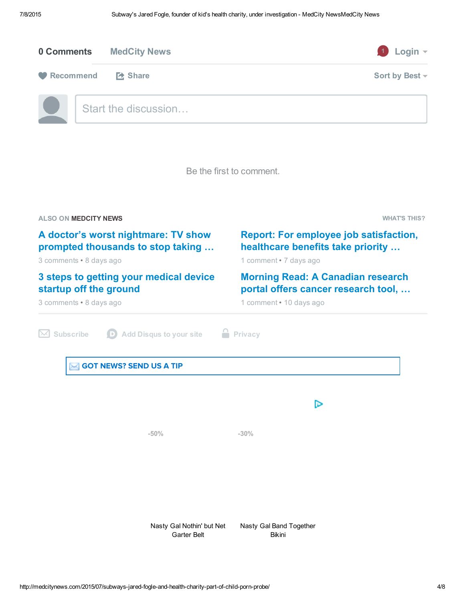<span id="page-3-0"></span>

| 0 Comments | <b>MedCity News</b>  | Login $\sim$<br>$\vert$ 1 |
|------------|----------------------|---------------------------|
| Recommend  | <b>Extra Share</b>   | Sort by Best ~            |
|            | Start the discussion |                           |

Be the first to comment.

| <b>ALSO ON MEDCITY NEWS</b>                                                                                                                                                                        |                                          | <b>WHAT'S THIS?</b>                                                                                                                                                                                                        |  |
|----------------------------------------------------------------------------------------------------------------------------------------------------------------------------------------------------|------------------------------------------|----------------------------------------------------------------------------------------------------------------------------------------------------------------------------------------------------------------------------|--|
| A doctor's worst nightmare: TV show<br>prompted thousands to stop taking<br>3 comments • 8 days ago<br>3 steps to getting your medical device<br>startup off the ground<br>3 comments • 8 days ago |                                          | <b>Report: For employee job satisfaction,</b><br>healthcare benefits take priority<br>1 comment · 7 days ago<br><b>Morning Read: A Canadian research</b><br>portal offers cancer research tool,<br>1 comment • 10 days ago |  |
|                                                                                                                                                                                                    |                                          |                                                                                                                                                                                                                            |  |
| <b>GOT NEWS? SEND US A TIP</b>                                                                                                                                                                     |                                          |                                                                                                                                                                                                                            |  |
|                                                                                                                                                                                                    |                                          | ⊳                                                                                                                                                                                                                          |  |
|                                                                                                                                                                                                    | $-50%$                                   | $-30%$                                                                                                                                                                                                                     |  |
|                                                                                                                                                                                                    |                                          |                                                                                                                                                                                                                            |  |
|                                                                                                                                                                                                    |                                          |                                                                                                                                                                                                                            |  |
|                                                                                                                                                                                                    | Nasty Gal Nothin' but Net<br>Garter Belt | Nasty Gal Band Together<br><b>Bikini</b>                                                                                                                                                                                   |  |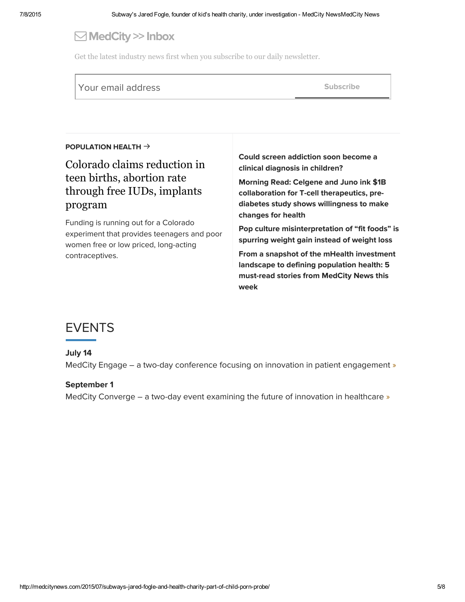## $\Box$  MedCity >> Inbox

Get the latest industry news first when you subscribe to our daily newsletter.

| Your email address | Subscribe |
|--------------------|-----------|
|                    |           |

#### [POPULATION](http://medcitynews.com/tag/population-health/) HEALTH  $\rightarrow$

## Colorado claims [reduction](http://medcitynews.com/2015/07/colorado-family-planning-initiative/) in teen births, abortion rate through free IUDs, implants program

Funding is running out for a Colorado experiment that provides teenagers and poor women free or low priced, long-acting contraceptives.

Could screen addiction soon become a clinical [diagnosis](http://medcitynews.com/2015/07/screen-addiction-internet-clinical-diagnosis-teenagers/) in children?

Morning Read: Celgene and Juno ink \$1B [collaboration](http://medcitynews.com/2015/06/celgene-and-juno-collaboration/) for T-cell therapeutics, prediabetes study shows willingness to make changes for health

Pop culture [misinterpretation](http://medcitynews.com/2015/06/pop-culture-misinterpretation-fit-foods/) of "fit foods" is spurring weight gain instead of weight loss

From a snapshot of the mHealth [investment](http://medcitynews.com/2015/06/from-a-snapshot-of-the-mhealth-investment-landscape-to-defining-population-health-5-must-read-stories-from-medcity-news-this-week/) landscape to defining population health: 5 must-read stories from MedCity News this week

## [EVENTS](http://medcitynews.com/events/)

## July 14

MedCity Engage – a two-day conference focusing on innovation in patient [engagement](http://events.medcitynews.com/engage/) »

#### September 1

MedCity Converge – a two-day event examining the future of innovation in [healthcare](http://events.medcitynews.com/converge/) »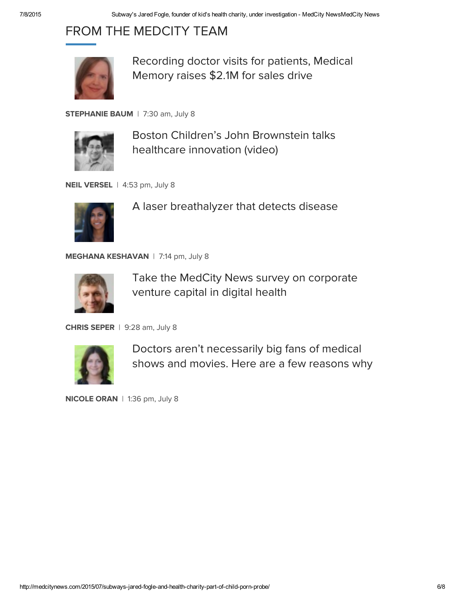# FROM THE MEDCITY TEAM



[Recording](http://medcitynews.com/2015/07/recording-doctor-visits-for-patients-medical-memory-raises-2-1m-for-sales-drive/) doctor visits for patients, Medical Memory raises \$2.1M for sales drive

[STEPHANIE](http://medcitynews.com/author/sbaum/) BAUM | 7:30 am, July 8



Boston Children's John [Brownstein](http://medcitynews.com/2015/07/boston-childrens-john-brownstein-talks-healthcare-innovation-video/) talks healthcare innovation (video)

NEIL [VERSEL](http://medcitynews.com/author/neilversel/) | 4:53 pm, July 8



A laser [breathalyzer](http://medcitynews.com/2015/07/a-laser-breathalyzer-that-detects-disease/) that [detects](http://cat.ny.us.criteo.com/delivery/ck.php?cppv=1&cpp=NpRheXx0M04zMzJvZGV4L3JlSGJydzZPSlc1cmh0UUNvWWdVUXNLd0JZQkFJSXRlSDlCZ3g3OVlMYU5kTXJSQjAyN2Rqc2tqeHh1N2pGcldkc09wRlVHeUVDUFRLMjIzRFI3NjkwUElSdHlsVkVZa1FwMW45WnpRdDQyeTh5bCtKcGpWRUp6cjBiVU5SRDc2RlI2Z0JNakFYNzJ6QzZnczd3MVlSYnhvRDZxRXVpcDlRQkxFRUpJeXZlL1BBRXA0RGNGbklpb2NjQmNZWExnN3hTdlR3YU9mZmxWMDBYQUU3ZUhMVFIzRWcybHkzRlRXZFdRcjcyL3dYVGVZdlVZcTJMcFVyb0JvWTFKYkRTRjVBb2hRMHRqZ1JURkxZMWN0VnE0VGlucHp3NTZmdkpnd2FUR0EvSDdJRC9IVnBYMFFSVVRtUk8xc1ltNXYzTUo2T2tCNklmZVQyUGw2QmJzWFJiU0ttM05MVUZGZnppQVk9fA%3D%3D&maxdest=http%3A%2F%2Fwww.nastygal.com%2Fclothes%2Flee--lani-the-seashell-bikini-top%3Futm_source%3Dcriteo%26utm_campaign%3Dcriteo_midfunnel_product_v2%26utm_content%3DShoes%26utm_medium%3Dbanner) dise[ase](http://cat.ny.us.criteo.com/delivery/ck.php?cppv=1&cpp=ZUlqQ3x0M04zMzJvZGV4L3JlSGJydzZPSlc1cmh0UUNvWWdVUXNLd0JZQkFJSXRlSDlCZ3g3OVlMYU5kTXJSQjAyN2Rqc2tqeHh1N2pGcldkc09wRlVHeUVDUFRLMjIzRFI3NjkwUElSdHlsVkVZa1FwMW45WnpRdDQyeTh5bCtKcGpWRUp6cjBiVU5SRDc2RlI2Z0JNakFYNzJ6QzZnczd3MVlSYnhvRDZxRXVpcC9xYStucGM0Rkk5SXdiK0t5ejBuSFNxM1pIeElNTkMzZVhEeTlqOWRPckNtYk5JZDQ2Nk93eVhJMjR5bkd1MDNwRVZWaXlPUVV3bDBmSHVKamcvRmF5WEs5OVN4c3VJZlVSUTRUVUkrU1diR1hwTDJSSmFYUGExd0lXUDlGdHdLSGgwRHBxN1FTVGtZR2cyRW1OYVdyL2RRakd4dUFwQ1U2WnA1WG4xM1pvY1UxdTRnaGh6amFjMkJmeHAxV3lJTm89fA%3D%3D&maxdest=http%3A%2F%2Fwww.nastygal.com%2Fclothes%2Fshakuhachi-good-genes-faux-denim-bikini-bottom%3Futm_source%3Dcriteo%26utm_campaign%3Dcriteo_midfunnel_product_v2%26utm_content%3DShoes%26utm_medium%3Dbanner)

[MEGHANA](http://cat.ny.us.criteo.com/delivery/ck.php?cppv=1&cpp=wdpOYHx0M04zMzJvZGV4L3JlSGJydzZPSlc1cmh0UUNvWWdVUXNLd0JZQkFJSXRlSDlCZ3g3OVlMYU5kTXJSQjAyN2Rqc2tqeHh1N2pGcldkc09wRlVHeUVDUFRLMjIzRFI3NjkwUElSdHlsVkVZa1FwMW45WnpRdDQyeTh5bCtKcGpWRUp6cjBiVU5SRDc2RlI2Z0JNakFYNzNHcm41OHJ1K2xRUlpINGMrRG16SlFjcDZHY2lXWlhjVHdwdTJDZmcvK08xaWNkZ3VWZWxKNjZTMFZBQ0ZTV0x0YVpYSy9hUS93Z3FFL0JQMFBWTXIyaWpqQ1BNRFBhRytrdTFuQWhRUGtTaWRuN0E1NFhLV0grOUZSNFFYYWhZdjEybWhYSTN6QVZteW5hNXFMQ0MyWTdZV2VYNzhldkhRTXR0UWFjcklZV2ZncHROTHNLV1ZNSWp0b2lLTEtsWExiMkJ0bHpHNDhtWlU1SDVVOW1ENnM9fA%3D%3D&maxdest=http%3A%2F%2Fwww.nastygal.com%3Futm_source%3Dcriteo%26utm_campaign%3Dcriteo_midfunnel_product_v2%26utm_content%3DShoes%26utm_medium%3Dbanner) [KESHAVA](http://medcitynews.com/author/mkeshavan/)[N](http://cat.ny.us.criteo.com/delivery/ck.php?cppv=1&cpp=vRymmnx0M04zMzJvZGV4L3JlSGJydzZPSlc1cmh0UUNvWWdVUXNLd0JZQkFJSXRlSDlCZ3g3OVlMYU5kTXJSQjAyN2Rqc2tqeHh1N2pGcldkc09wRlVHeUVDUFRLMjIzRFI3NjkwUElSdHlsVkVZa1FwMW45WnpRdDQyeTh5bCtKcGpWRUp6cjBiVU5SRDc2RlI2Z0JNakFYNzhER0doOHlGd2pGYWRPYnJ1RFBSS2FwNVM4OGoyZWp6ZlovYWw0R0FLSHQySXlPbXFQMFhTaUVhaFc4S2t0bHhMTC9SeTdDckZoOENGZ2NYQmJaQ1pDdHFLR0loQUh5U0JFYU1OS0V4dFZNaFI3VFFCY2wva1BXemRhWXQwNXUvVGlnVUk2L3gvdXUzZUNoN1ZNb0ZGRjRaM0pjQklib0FwOGFLSEVRcm9BdEJHY1FtZWUxdW1GZDRrdkowdS9oRDBKTmw4SWIyblFhTHdhV0kwZGNUWGM9fA%3D%3D&maxdest=http%3A%2F%2Fwww.nastygal.com%2Fclothes%2Fnasty-gal-band-together-bikini%3Futm_source%3Dcriteo%26utm_campaign%3Dcriteo_midfunnel_product_v2%26utm_content%3DShoes%26utm_medium%3Dbanner) | 7:14 pm, July 8



Take the MedCity News survey on [corporate](http://medcitynews.com/2015/07/corporate-venture-capital-survey-digital-health/) venture capital in digital health

CHRIS [SEPER](http://medcitynews.com/author/chris/) | 9:28 am, July 8



Doctors aren't [necessarily](http://medcitynews.com/2015/07/doctors-arent-necessarily-big-fans-of-medical-shows-and-movies-heres-a-few-reasons-why/) big fans of medical shows and movies. Here are a few reasons why

[NICOLE](http://medcitynews.com/author/noran/) ORAN | 1:36 pm, July 8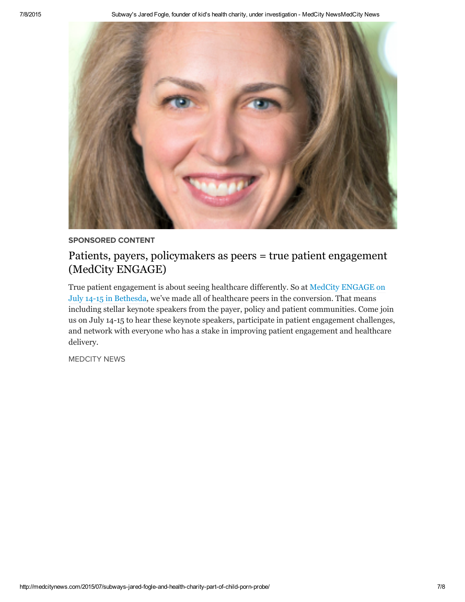

## SPONSORED CONTENT

## Patients, payers, [policymakers](http://medcitynews.com/?sponsored_content=patients-payers-policymakers-as-peers-true-patient-engagement-medcity-engage) as peers = true patient engagement (MedCity ENGAGE)

True patient [engagement](http://events.medcitynews.com/engage/) is about seeing healthcare differently. So at MedCity ENGAGE on July 14-15 in Bethesda, we've made all of healthcare peers in the conversion. That means including stellar keynote speakers from the payer, policy and patient communities. Come join us on July 14-15 to hear these keynote speakers, participate in patient engagement challenges, and network with everyone who has a stake in improving patient engagement and healthcare delivery.

[MEDCITY](http://medcitynews.com/author/medcitynews/) NEWS